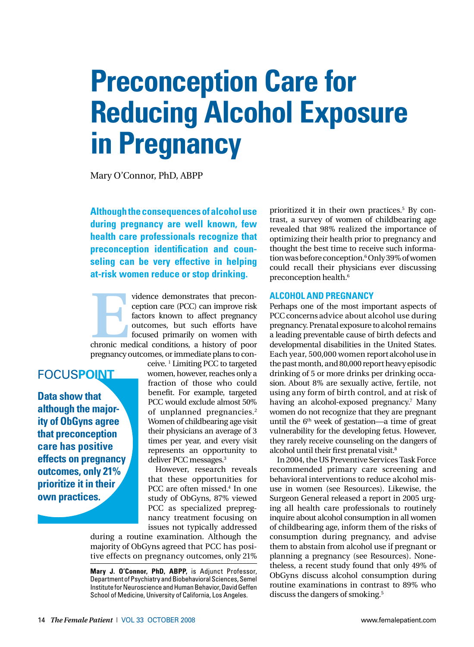# **Preconception Care for Reducing Alcohol Exposure in Pregnancy**

Mary O'Connor, PhD, ABPP

**Although the consequences of alcohol use during pregnancy are well known, few health care professionals recognize that preconception identification and counseling can be very effective in helping at-risk women reduce or stop drinking.**

vidence demonstrates that preconception care (PCC) can improve risk factors known to affect pregnancy outcomes, but such efforts have focused primarily on women with chronic medical conditions, a history of poor ception care (PCC) can improve risk factors known to affect pregnancy outcomes, but such efforts have focused primarily on women with pregnancy outcomes, or immediate plans to con-

### FOCUS**POINT**

**Data show that although the majority of ObGyns agree that preconception care has positive effects on pregnancy outcomes, only 21% prioritize it in their own practices.**

ceive. 1 Limiting PCC to targeted women, however, reaches only a fraction of those who could benefit. For example, targeted PCC would exclude almost 50% of unplanned pregnancies.<sup>2</sup> Women of childbearing age visit their physicians an average of 3 times per year, and every visit represents an opportunity to deliver PCC messages.3

However, research reveals that these opportunities for PCC are often missed.4 In one study of ObGyns, 87% viewed PCC as specialized prepregnancy treatment focusing on issues not typically addressed

during a routine examination. Although the majority of ObGyns agreed that PCC has positive effects on pregnancy outcomes, only 21%

prioritized it in their own practices.<sup>5</sup> By contrast, a survey of women of childbearing age revealed that 98% realized the importance of optimizing their health prior to pregnancy and thought the best time to receive such information was before conception.<sup>6</sup> Only 39% of women could recall their physicians ever discussing preconception health.6

#### **ALCOHOL AND PREGNANCY**

Perhaps one of the most important aspects of PCC concerns advice about alcohol use during pregnancy. Prenatal exposure to alcohol remains a leading preventable cause of birth defects and developmental disabilities in the United States. Each year, 500,000 women report alcohol use in the past month, and 80,000 report heavy episodic drinking of 5 or more drinks per drinking occasion. About 8% are sexually active, fertile, not using any form of birth control, and at risk of having an alcohol-exposed pregnancy.<sup>7</sup> Many women do not recognize that they are pregnant until the  $6<sup>th</sup>$  week of gestation—a time of great vulnerability for the developing fetus. However, they rarely receive counseling on the dangers of alcohol until their first prenatal visit.8

In 2004, the US Preventive Services Task Force recommended primary care screening and behavioral interventions to reduce alcohol misuse in women (see Resources). Likewise, the Surgeon General released a report in 2005 urging all health care professionals to routinely inquire about alcohol consumption in all women of childbearing age, inform them of the risks of consumption during pregnancy, and advise them to abstain from alcohol use if pregnant or planning a pregnancy (see Resources). Nonetheless, a recent study found that only 49% of ObGyns discuss alcohol consumption during routine examinations in contrast to 89% who discuss the dangers of smoking.5

**Mary J. O'Connor, PhD, ABPP,** is Adjunct Professor, Department of Psychiatry and Biobehavioral Sciences, Semel Institute for Neuroscience and Human Behavior, David Geffen School of Medicine, University of California, Los Angeles.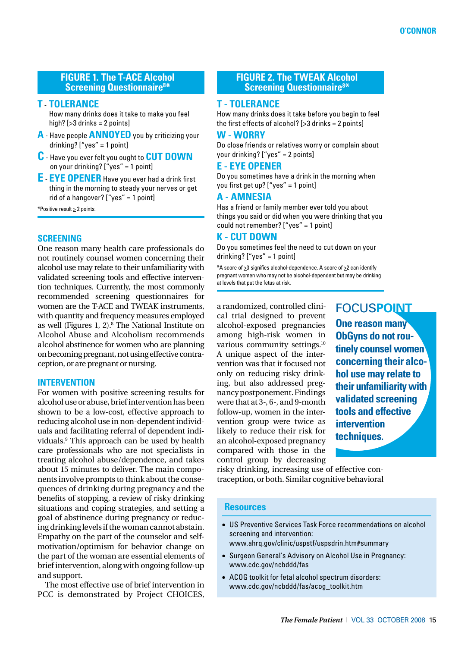#### **FIGURE 1. The T-ACE Alcohol Screening Questionnaire8 \***

#### **T** - **TOLERANCE**

How many drinks does it take to make you feel high?  $[>3$  drinks = 2 points]

- **A** Have people **ANNOYED** you by criticizing your drinking? ["yes" = 1 point]
- **C** Have you ever felt you ought to **CUT DOWN** on your drinking? ["yes" = 1 point]
- **E EYE OPENER** Have you ever had a drink first thing in the morning to steady your nerves or get rid of a hangover? ["yes" = 1 point]

\*Positive result  $\geq 2$  points.

#### **SCREENING**

One reason many health care professionals do not routinely counsel women concerning their alcohol use may relate to their unfamiliarity with validated screening tools and effective intervention techniques. Currently, the most commonly recommended screening questionnaires for women are the T-ACE and TWEAK instruments, with quantity and frequency measures employed as well (Figures 1, 2).<sup>8</sup> The National Institute on Alcohol Abuse and Alcoholism recommends alcohol abstinence for women who are planning on becoming pregnant, not using effective contraception, or are pregnant or nursing.

#### **INTERVENTION**

For women with positive screening results for alcohol use or abuse, brief intervention has been shown to be a low-cost, effective approach to reducing alcohol use in non-dependent individuals and facilitating referral of dependent individuals.9 This approach can be used by health care professionals who are not specialists in treating alcohol abuse/dependence, and takes about 15 minutes to deliver. The main components involve prompts to think about the consequences of drinking during pregnancy and the benefits of stopping, a review of risky drinking situations and coping strategies, and setting a goal of abstinence during pregnancy or reducing drinking levels if the woman cannot abstain. Empathy on the part of the counselor and selfmotivation/optimism for behavior change on the part of the woman are essential elements of brief intervention, along with ongoing follow-up and support.

The most effective use of brief intervention in PCC is demonstrated by Project CHOICES,

#### **FIGURE 2. The TWEAK Alcohol Screening Questionnaire8 \***

#### **T - TOLERANCE**

How many drinks does it take before you begin to feel the first effects of alcohol? [>3 drinks = 2 points]

#### **W - WORRY**

Do close friends or relatives worry or complain about your drinking? ["yes" = 2 points]

#### **E - EYE OPENER**

Do you sometimes have a drink in the morning when you first get up? ["yes" = 1 point]

#### **A - AMNESIA**

Has a friend or family member ever told you about things you said or did when you were drinking that you could not remember? ["yes" = 1 point]

#### **K - CUT DOWN**

Do you sometimes feel the need to cut down on your  $drinking?$  ["yes" = 1 point]

\*A score of >3 signifies alcohol-dependence. A score of >2 can identify pregnant women who may not be alcohol-dependent but may be drinking at levels that put the fetus at risk.

a randomized, controlled clinical trial designed to prevent alcohol-exposed pregnancies among high-risk women in various community settings.10 A unique aspect of the intervention was that it focused not only on reducing risky drinking, but also addressed pregnancy postponement. Findings were that at 3-, 6-, and 9-month follow-up, women in the intervention group were twice as likely to reduce their risk for an alcohol-exposed pregnancy compared with those in the control group by decreasing

FOCUS**POINT One reason many ObGyns do not routinely counsel women concerning their alcohol use may relate to their unfamiliarity with validated screening tools and effective intervention techniques.**

risky drinking, increasing use of effective contraception, or both. Similar cognitive behavioral

#### **Resources**

- US Preventive Services Task Force recommendations on alcohol screening and intervention: www.ahrq.gov/clinic/uspstf/uspsdrin.htm#summary
- Surgeon General's Advisory on Alcohol Use in Pregnancy: www.cdc.gov/ncbddd/fas
- ACOG toolkit for fetal alcohol spectrum disorders: www.cdc.gov/ncbddd/fas/acog\_toolkit.htm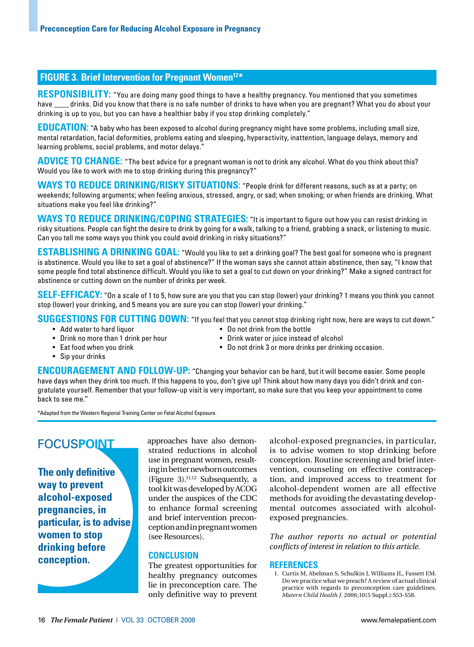#### **FIGURE 3. Brief Intervention for Pregnant Women12\***

**RESPONSIBILITY:** "You are doing many good things to have a healthy pregnancy. You mentioned that you sometimes have \_\_\_\_ drinks. Did you know that there is no safe number of drinks to have when you are pregnant? What you do about your drinking is up to you, but you can have a healthier baby if you stop drinking completely."

**EDUCATION:** "A baby who has been exposed to alcohol during pregnancy might have some problems, including small size, mental retardation, facial deformities, problems eating and sleeping, hyperactivity, inattention, language delays, memory and learning problems, social problems, and motor delays."

ADVICE TO CHANGE: "The best advice for a pregnant woman is not to drink any alcohol. What do you think about this? Would you like to work with me to stop drinking during this pregnancy?"

WAYS TO REDUCE DRINKING/RISKY SITUATIONS: "People drink for different reasons, such as at a party; on weekends; following arguments; when feeling anxious, stressed, angry, or sad; when smoking; or when friends are drinking. What situations make you feel like drinking?"

**WAYS TO REDUCE DRINKING/COPING STRATEGIES:** "It is important to figure out how you can resist drinking in risky situations. People can fight the desire to drink by going for a walk, talking to a friend, grabbing a snack, or listening to music. Can you tell me some ways you think you could avoid drinking in risky situations?"

**ESTABLISHING A DRINKING GOAL:** "Would you like to set a drinking goal? The best goal for someone who is pregnant is abstinence. Would you like to set a goal of abstinence?" If the woman says she cannot attain abstinence, then say, "I know that some people find total abstinence difficult. Would you like to set a goal to cut down on your drinking?" Make a signed contract for abstinence or cutting down on the number of drinks per week.

**SELF-EFFICACY:** "On a scale of 1 to 5, how sure are you that you can stop (lower) your drinking? 1 means you think you cannot stop (lower) your drinking, and 5 means you are sure you can stop (lower) your drinking."

**SUGGESTIONS FOR CUTTING DOWN:** "If you feel that you cannot stop drinking right now, here are ways to cut down."

- Add water to hard liquor Do not drink from the bottle
- 
- 
- Drink no more than 1 drink per hour Drink water or juice instead of alcohol
- Eat food when you drink  **Do** not drink 3 or more drinks per drinking occasion.
- Sip your drinks

**ENCOURAGEMENT AND FOLLOW-UP:** "Changing your behavior can be hard, but it will become easier. Some people have days when they drink too much. If this happens to you, don't give up! Think about how many days you didn't drink and congratulate yourself. Remember that your follow-up visit is very important, so make sure that you keep your appointment to come back to see me."

\*Adapted from the Western Regional Training Center on Fetal Alcohol Exposure.

# FOCUS**POINT**

**The only definitive way to prevent alcohol-exposed pregnancies, in particular, is to advise women to stop drinking before conception.**

approaches have also demonstrated reductions in alcohol use in pregnant women, resulting in better newborn outcomes (Figure 3). $11,12}$  Subsequently, a tool kit was developed by ACOG under the auspices of the CDC to enhance formal screening and brief intervention preconception and in pregnant women (see Resources).

#### **CONCLUSION**

The greatest opportunities for healthy pregnancy outcomes lie in preconception care. The only definitive way to prevent alcohol-exposed pregnancies, in particular, is to advise women to stop drinking before conception. Routine screening and brief intervention, counseling on effective contraception, and improved access to treatment for alcohol-dependent women are all effective methods for avoiding the devastating developmental outcomes associated with alcoholexposed pregnancies.

*The author reports no actual or potential conflicts of interest in relation to this article.*

#### **REFERENCES**

1. Curtis M, Abelman S, Schulkin J, Williams JL, Fassett EM. Do we practice what we preach? A review of actual clinical practice with regards to preconception care guidelines. *Matern Child Health J*. 2006;10(5 Suppl.):S53-S58.